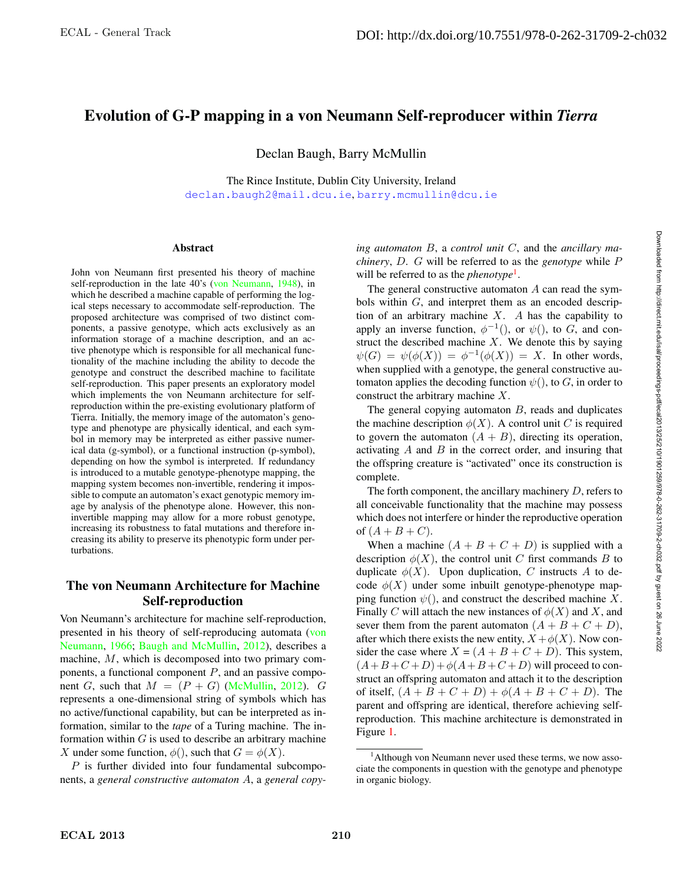# Evolution of G-P mapping in a von Neumann Self-reproducer within *Tierra*

Declan Baugh, Barry McMullin

The Rince Institute, Dublin City University, Ireland declan.baugh2@mail.dcu.ie, barry.mcmullin@dcu.ie

#### **Abstract**

John von Neumann first presented his theory of machine self-reproduction in the late 40's (von Neumann, 1948), in which he described a machine capable of performing the logical steps necessary to accommodate self-reproduction. The proposed architecture was comprised of two distinct components, a passive genotype, which acts exclusively as an information storage of a machine description, and an active phenotype which is responsible for all mechanical functionality of the machine including the ability to decode the genotype and construct the described machine to facilitate self-reproduction. This paper presents an exploratory model which implements the von Neumann architecture for selfreproduction within the pre-existing evolutionary platform of Tierra. Initially, the memory image of the automaton's genotype and phenotype are physically identical, and each symbol in memory may be interpreted as either passive numerical data (g-symbol), or a functional instruction (p-symbol), depending on how the symbol is interpreted. If redundancy is introduced to a mutable genotype-phenotype mapping, the mapping system becomes non-invertible, rendering it impossible to compute an automaton's exact genotypic memory image by analysis of the phenotype alone. However, this noninvertible mapping may allow for a more robust genotype, increasing its robustness to fatal mutations and therefore increasing its ability to preserve its phenotypic form under perturbations.

# The von Neumann Architecture for Machine Self-reproduction

Von Neumann's architecture for machine self-reproduction, presented in his theory of self-reproducing automata (von Neumann, 1966; Baugh and McMullin, 2012), describes a machine, M, which is decomposed into two primary components, a functional component  $P$ , and an passive component G, such that  $M = (P + G)$  (McMullin, 2012). G represents a one-dimensional string of symbols which has no active/functional capability, but can be interpreted as information, similar to the *tape* of a Turing machine. The information within  $G$  is used to describe an arbitrary machine X under some function,  $\phi()$ , such that  $G = \phi(X)$ .

 $P$  is further divided into four fundamental subcomponents, a *general constructive automaton* A, a *general copy-* *ing automaton* B, a *control unit* C, and the *ancillary machinery*, D. G will be referred to as the *genotype* while P will be referred to as the *phenotype*<sup>1</sup>.

The general constructive automaton  $A$  can read the symbols within G, and interpret them as an encoded description of an arbitrary machine  $X$ . A has the capability to apply an inverse function,  $\phi^{-1}($ ), or  $\psi()$ , to G, and construct the described machine  $X$ . We denote this by saying  $\psi(G) = \psi(\phi(X)) = \phi^{-1}(\phi(X)) = X$ . In other words, when supplied with a genotype, the general constructive automaton applies the decoding function  $\psi()$ , to G, in order to construct the arbitrary machine X.

The general copying automaton  $B$ , reads and duplicates the machine description  $\phi(X)$ . A control unit C is required to govern the automaton  $(A + B)$ , directing its operation, activating  $A$  and  $B$  in the correct order, and insuring that the offspring creature is "activated" once its construction is complete.

The forth component, the ancillary machinery  $D$ , refers to all conceivable functionality that the machine may possess which does not interfere or hinder the reproductive operation of  $(A + B + C)$ .

When a machine  $(A + B + C + D)$  is supplied with a description  $\phi(X)$ , the control unit C first commands B to duplicate  $\phi(X)$ . Upon duplication, C instructs A to decode  $\phi(X)$  under some inbuilt genotype-phenotype mapping function  $\psi()$ , and construct the described machine X. Finally C will attach the new instances of  $\phi(X)$  and X, and sever them from the parent automaton  $(A + B + C + D)$ , after which there exists the new entity,  $X + \phi(X)$ . Now consider the case where  $X = (A + B + C + D)$ . This system,  $(A+B+C+D)+\phi(A+B+C+D)$  will proceed to construct an offspring automaton and attach it to the description of itself,  $(A + B + C + D) + \phi(A + B + C + D)$ . The parent and offspring are identical, therefore achieving selfreproduction. This machine architecture is demonstrated in Figure 1.

<sup>&</sup>lt;sup>1</sup> Although von Neumann never used these terms, we now associate the components in question with the genotype and phenotype in organic biology.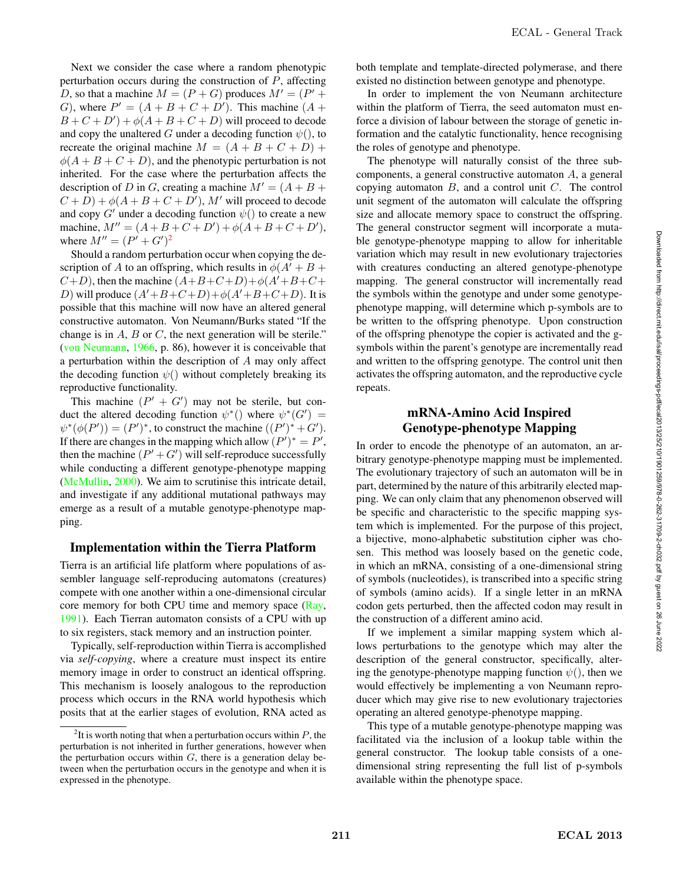Next we consider the case where a random phenotypic perturbation occurs during the construction of  $P$ , affecting D, so that a machine  $M = (P + G)$  produces  $M' = (P' +$ G), where  $P' = (A + B + C + D')$ . This machine  $(A + B')$  $B+C+D'+\phi(A+B+C+D)$  will proceed to decode and copy the unaltered G under a decoding function  $\psi()$ , to recreate the original machine  $M = (A + B + C + D) +$  $\phi(A + B + C + D)$ , and the phenotypic perturbation is not inherited. For the case where the perturbation affects the description of D in G, creating a machine  $M' = (A + B +$  $(C+D)+\phi(A+B+C+D'), M'$  will proceed to decode and copy  $G'$  under a decoding function  $\psi()$  to create a new machine,  $M'' = (A + B + C + D') + \phi(A + B + C + D'),$ where  $M'' = (P' + G')^2$ 

Should a random perturbation occur when copying the description of A to an offspring, which results in  $\phi(A' + B +$  $(C+D)$ , then the machine  $(A+B+C+D)+\phi(A'+B+C+D)$ D) will produce  $(A' + B + C + D) + \phi(A' + B + C + D)$ . It is possible that this machine will now have an altered general constructive automaton. Von Neumann/Burks stated "If the change is in  $A$ ,  $B$  or  $C$ , the next generation will be sterile." (von Neumann, 1966, p. 86), however it is conceivable that a perturbation within the description of A may only affect the decoding function  $\psi()$  without completely breaking its reproductive functionality.

This machine  $(P' + G')$  may not be sterile, but conduct the altered decoding function  $\psi^*()$  where  $\psi^*(G') =$  $\psi^*(\phi(P')) = (P')^*$ , to construct the machine  $((P')^* + G')$ . If there are changes in the mapping which allow  $(P')^* = P'$ , then the machine  $(P' + G')$  will self-reproduce successfully while conducting a different genotype-phenotype mapping (McMullin, 2000). We aim to scrutinise this intricate detail, and investigate if any additional mutational pathways may emerge as a result of a mutable genotype-phenotype mapping.

#### Implementation within the Tierra Platform

Tierra is an artificial life platform where populations of assembler language self-reproducing automatons (creatures) compete with one another within a one-dimensional circular core memory for both CPU time and memory space (Ray, 1991). Each Tierran automaton consists of a CPU with up to six registers, stack memory and an instruction pointer.

Typically, self-reproduction within Tierra is accomplished via *self-copying*, where a creature must inspect its entire memory image in order to construct an identical offspring. This mechanism is loosely analogous to the reproduction process which occurs in the RNA world hypothesis which posits that at the earlier stages of evolution, RNA acted as

both template and template-directed polymerase, and there existed no distinction between genotype and phenotype.

In order to implement the von Neumann architecture within the platform of Tierra, the seed automaton must enforce a division of labour between the storage of genetic information and the catalytic functionality, hence recognising the roles of genotype and phenotype.

The phenotype will naturally consist of the three subcomponents, a general constructive automaton A, a general copying automaton  $B$ , and a control unit  $C$ . The control unit segment of the automaton will calculate the offspring size and allocate memory space to construct the offspring. The general constructor segment will incorporate a mutable genotype-phenotype mapping to allow for inheritable variation which may result in new evolutionary trajectories with creatures conducting an altered genotype-phenotype mapping. The general constructor will incrementally read the symbols within the genotype and under some genotypephenotype mapping, will determine which p-symbols are to be written to the offspring phenotype. Upon construction of the offspring phenotype the copier is activated and the gsymbols within the parent's genotype are incrementally read and written to the offspring genotype. The control unit then activates the offspring automaton, and the reproductive cycle repeats.

# mRNA-Amino Acid Inspired Genotype-phenotype Mapping

In order to encode the phenotype of an automaton, an arbitrary genotype-phenotype mapping must be implemented. The evolutionary trajectory of such an automaton will be in part, determined by the nature of this arbitrarily elected mapping. We can only claim that any phenomenon observed will be specific and characteristic to the specific mapping system which is implemented. For the purpose of this project, a bijective, mono-alphabetic substitution cipher was chosen. This method was loosely based on the genetic code, in which an mRNA, consisting of a one-dimensional string of symbols (nucleotides), is transcribed into a specific string of symbols (amino acids). If a single letter in an mRNA codon gets perturbed, then the affected codon may result in the construction of a different amino acid.

If we implement a similar mapping system which allows perturbations to the genotype which may alter the description of the general constructor, specifically, altering the genotype-phenotype mapping function  $\psi()$ , then we would effectively be implementing a von Neumann reproducer which may give rise to new evolutionary trajectories operating an altered genotype-phenotype mapping.

This type of a mutable genotype-phenotype mapping was facilitated via the inclusion of a lookup table within the general constructor. The lookup table consists of a onedimensional string representing the full list of p-symbols available within the phenotype space.

<sup>&</sup>lt;sup>2</sup>It is worth noting that when a perturbation occurs within  $P$ , the perturbation is not inherited in further generations, however when the perturbation occurs within  $G$ , there is a generation delay between when the perturbation occurs in the genotype and when it is expressed in the phenotype.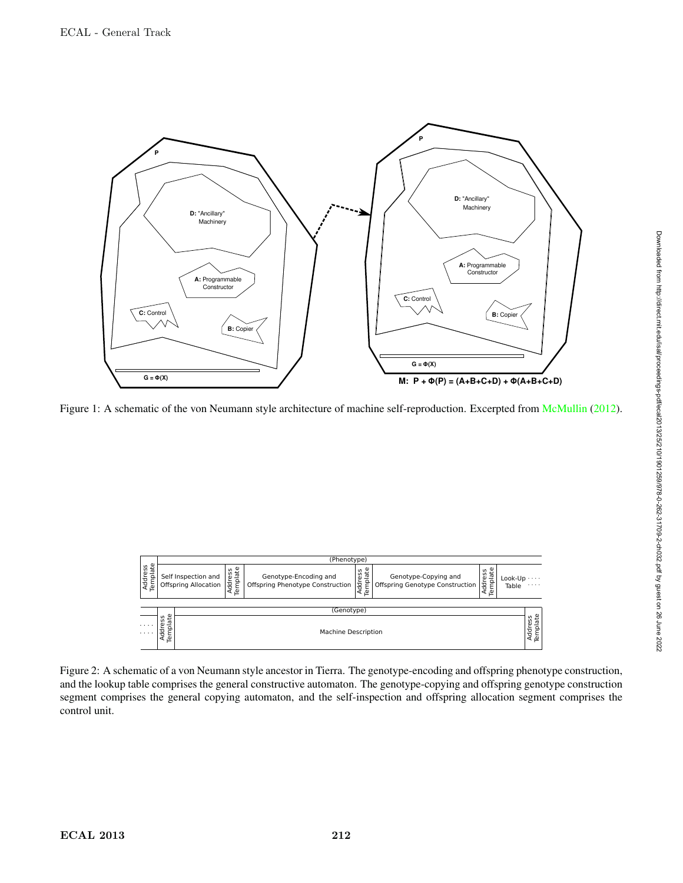

Figure 1: A schematic of the von Neumann style architecture of machine self-reproduction. Excerpted from McMullin (2012).

|                            | (Phenotype)                                                                                      |                                |                                                           |                           |                                                         |                     |                  |               |  |  |  |  |  |
|----------------------------|--------------------------------------------------------------------------------------------------|--------------------------------|-----------------------------------------------------------|---------------------------|---------------------------------------------------------|---------------------|------------------|---------------|--|--|--|--|--|
| ate<br>Address<br>Template | Self Inspection and<br><b>Offspring Allocation</b>                                               | Template<br>S<br><b>Addres</b> | Genotype-Encoding and<br>Offspring Phenotype Construction | ate<br>Address<br>ē<br>டி | Genotype-Copying and<br>Offspring Genotype Construction | Template<br>Address | Look-Up<br>Table | .<br>$\cdots$ |  |  |  |  |  |
|                            |                                                                                                  |                                |                                                           |                           |                                                         |                     |                  |               |  |  |  |  |  |
|                            | (Genotype)<br>ate<br>Address<br>Template<br>ess<br>⊾<br>Add<br><b>Machine Description</b><br>Tem |                                |                                                           |                           |                                                         |                     |                  |               |  |  |  |  |  |
| $\cdots$<br>1.1.1.1        |                                                                                                  |                                |                                                           |                           |                                                         |                     |                  |               |  |  |  |  |  |

Figure 2: A schematic of a von Neumann style ancestor in Tierra. The genotype-encoding and offspring phenotype construction, and the lookup table comprises the general constructive automaton. The genotype-copying and offspring genotype construction segment comprises the general copying automaton, and the self-inspection and offspring allocation segment comprises the control unit.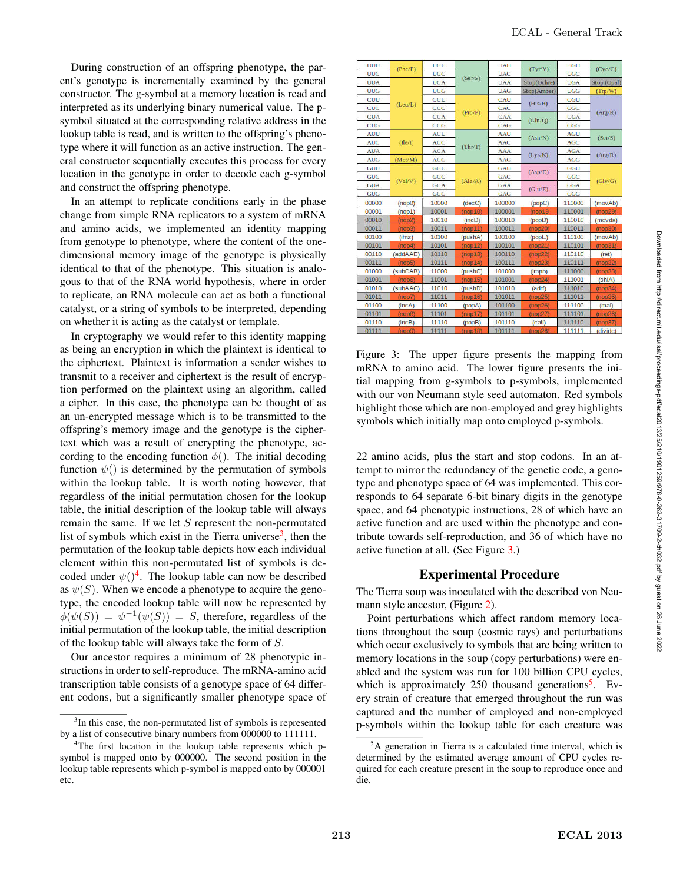During construction of an offspring phenotype, the parent's genotype is incrementally examined by the general constructor. The g-symbol at a memory location is read and interpreted as its underlying binary numerical value. The psymbol situated at the corresponding relative address in the lookup table is read, and is written to the offspring's phenotype where it will function as an active instruction. The general constructor sequentially executes this process for every location in the genotype in order to decode each g-symbol and construct the offspring phenotype.

In an attempt to replicate conditions early in the phase change from simple RNA replicators to a system of mRNA and amino acids, we implemented an identity mapping from genotype to phenotype, where the content of the onedimensional memory image of the genotype is physically identical to that of the phenotype. This situation is analogous to that of the RNA world hypothesis, where in order to replicate, an RNA molecule can act as both a functional catalyst, or a string of symbols to be interpreted, depending on whether it is acting as the catalyst or template.

In cryptography we would refer to this identity mapping as being an encryption in which the plaintext is identical to the ciphertext. Plaintext is information a sender wishes to transmit to a receiver and ciphertext is the result of encryption performed on the plaintext using an algorithm, called a cipher. In this case, the phenotype can be thought of as an un-encrypted message which is to be transmitted to the offspring's memory image and the genotype is the ciphertext which was a result of encrypting the phenotype, according to the encoding function  $\phi$ . The initial decoding function  $\psi()$  is determined by the permutation of symbols within the lookup table. It is worth noting however, that regardless of the initial permutation chosen for the lookup table, the initial description of the lookup table will always remain the same. If we let S represent the non-permutated list of symbols which exist in the Tierra universe<sup>3</sup>, then the permutation of the lookup table depicts how each individual element within this non-permutated list of symbols is decoded under  $\psi()^4$ . The lookup table can now be described as  $\psi(S)$ . When we encode a phenotype to acquire the genotype, the encoded lookup table will now be represented by  $\phi(\psi(S)) = \psi^{-1}(\psi(S)) = S$ , therefore, regardless of the initial permutation of the lookup table, the initial description of the lookup table will always take the form of S.

Our ancestor requires a minimum of 28 phenotypic instructions in order to self-reproduce. The mRNA-amino acid transcription table consists of a genotype space of 64 different codons, but a significantly smaller phenotype space of

| UUU        |                     | UCU        | (Ser/S) | <b>UAU</b> |             | <b>UGU</b> |                      |  |
|------------|---------------------|------------|---------|------------|-------------|------------|----------------------|--|
| UUC        | (Phe/F)             | <b>UCC</b> |         | <b>UAC</b> | (TVT/Y)     | <b>UGC</b> | (Cyc/C)              |  |
| <b>UUA</b> |                     | <b>UCA</b> |         | <b>UAA</b> | Stop(Ochre) | <b>UGA</b> | Stop (Opal)          |  |
| <b>UUG</b> | (Leu/L)             | <b>UCG</b> |         | <b>UAG</b> | Stop(Amber) | <b>UGG</b> | (Trp/W)              |  |
| CUU        |                     | CCU        | (Pro/P) | CAU        | (His/H)     | CGU        |                      |  |
| <b>CUC</b> |                     | CCC        |         | CAC        |             | CGC        | (A <sub>rg</sub> /R) |  |
| <b>CUA</b> |                     | <b>CCA</b> |         | CAA        | (Gln/Q)     | CGA        |                      |  |
| <b>CUG</b> |                     | CCG        |         | CAG        |             | CGG        |                      |  |
| <b>AUU</b> |                     | <b>ACU</b> | (Thr/T) | AAU        | (Asin/N)    | <b>AGU</b> | (Ser/S)              |  |
| <b>AUC</b> | (He/I)              | <b>ACC</b> |         | AAC        |             | <b>AGC</b> |                      |  |
| <b>AUA</b> |                     | <b>ACA</b> |         | <b>AAA</b> | (Lys/K)     | <b>AGA</b> |                      |  |
| <b>AUG</b> | (Met/M)             | <b>ACG</b> |         | <b>AAG</b> |             | <b>AGG</b> | (Arg/R)              |  |
| GUU        | (Val/V)             | GCU        | (Ala/A) | GAU        | (Asp/D)     | GGU        | (Gly/G)              |  |
| <b>GUC</b> |                     | GCC        |         | GAC        |             | GGC        |                      |  |
| <b>GUA</b> |                     | <b>GCA</b> |         | GAA        | (Glu/E)     | <b>GGA</b> |                      |  |
| <b>GUG</b> |                     | <b>GCG</b> |         | <b>GAG</b> |             | GGG        |                      |  |
| 00000      | (nop0)              | 10000      | (decC)  | 100000     | (popC)      | 110000     | (movAb)              |  |
| 00001      | (nop1)              | 10001      | (nop10) | 100001     | (nop19)     | 110001     | (nop29)              |  |
| 00010      | (nop2)              | 10010      | (incD)  | 100010     | (popD)      | 110010     | (movda)              |  |
| 00011      | (nop3)              | 10011      | (nop11) | 100011     | (nop20)     | 110011     | (nop30)              |  |
| 00100      | (finz)              | 10100      | (pushA) | 100100     | (popE)      | 110100     | (movAb)              |  |
| 00101      | (nop4)              | 10101      | (nop12) | 100101     | (nop21)     | 110101     | (nop31)              |  |
| 00110      | (addAAE)            | 10110      | (nop13) | 100110     | (nop22)     | 110110     | (ret)                |  |
| 00111      | (nop <sub>5</sub> ) | 10111      | (nop14) | 100111     | (nop23)     | 110111     | (nop32)              |  |
| 01000      | (subCAB)            | 11000      | (pushC) | 101000     | (impb)      | 111000     | (nop33)              |  |
| 01001      | (nop6)              | 11001      | (nop15) | 101001     | (nop24)     | 111001     | (shiA)               |  |
| 01010      | (subAAC)            | 11010      | (pushD) | 101010     | (adrf)      | 111010     | (nop34)              |  |
| 01011      | (nop7)              | 11011      | (nop16) | 101011     | (nop25)     | 111011     | (nop35)              |  |
| 01100      | (incA)              | 11100      | (popA)  | 101100     | (nop26)     | 111100     | (mal)                |  |
| 01101      | (nop8)              | 11101      | (nop17) | 101101     | (nop27)     | 111101     | (nop36)              |  |
| 01110      | (inCB)              | 11110      | (popB)  | 101110     | (call)      | 111110     | (nop37)              |  |
| 01111      | (nop9)              | 11111      | (nop18) | 101111     | (nop28)     | 111111     | (divide)             |  |
|            |                     |            |         |            |             |            |                      |  |

Figure 3: The upper figure presents the mapping from mRNA to amino acid. The lower figure presents the initial mapping from g-symbols to p-symbols, implemented with our von Neumann style seed automaton. Red symbols highlight those which are non-employed and grey highlights symbols which initially map onto employed p-symbols.

22 amino acids, plus the start and stop codons. In an attempt to mirror the redundancy of the genetic code, a genotype and phenotype space of 64 was implemented. This corresponds to 64 separate 6-bit binary digits in the genotype space, and 64 phenotypic instructions, 28 of which have an active function and are used within the phenotype and contribute towards self-reproduction, and 36 of which have no active function at all. (See Figure 3.)

# Experimental Procedure

The Tierra soup was inoculated with the described von Neumann style ancestor, (Figure 2).

Point perturbations which affect random memory locations throughout the soup (cosmic rays) and perturbations which occur exclusively to symbols that are being written to memory locations in the soup (copy perturbations) were enabled and the system was run for 100 billion CPU cycles, which is approximately  $250$  thousand generations<sup>5</sup>. Every strain of creature that emerged throughout the run was captured and the number of employed and non-employed p-symbols within the lookup table for each creature was

<sup>&</sup>lt;sup>3</sup>In this case, the non-permutated list of symbols is represented by a list of consecutive binary numbers from 000000 to 111111.

<sup>&</sup>lt;sup>4</sup>The first location in the lookup table represents which psymbol is mapped onto by 000000. The second position in the lookup table represents which p-symbol is mapped onto by 000001 etc.

<sup>&</sup>lt;sup>5</sup>A generation in Tierra is a calculated time interval, which is determined by the estimated average amount of CPU cycles required for each creature present in the soup to reproduce once and die.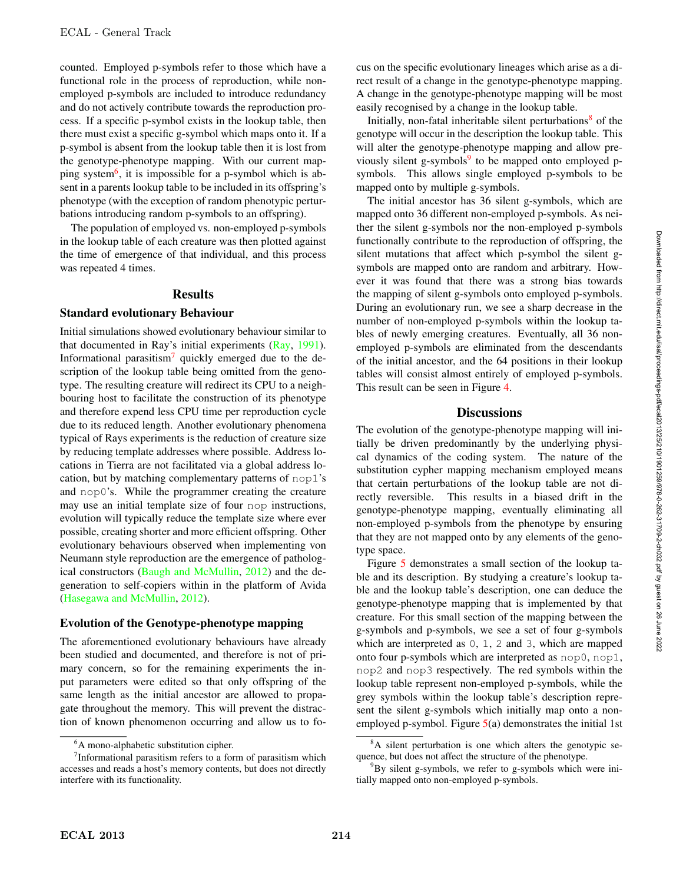counted. Employed p-symbols refer to those which have a functional role in the process of reproduction, while nonemployed p-symbols are included to introduce redundancy and do not actively contribute towards the reproduction process. If a specific p-symbol exists in the lookup table, then there must exist a specific g-symbol which maps onto it. If a p-symbol is absent from the lookup table then it is lost from the genotype-phenotype mapping. With our current mapping system<sup>6</sup>, it is impossible for a p-symbol which is absent in a parents lookup table to be included in its offspring's phenotype (with the exception of random phenotypic perturbations introducing random p-symbols to an offspring).

The population of employed vs. non-employed p-symbols in the lookup table of each creature was then plotted against the time of emergence of that individual, and this process was repeated 4 times.

#### **Results**

#### Standard evolutionary Behaviour

Initial simulations showed evolutionary behaviour similar to that documented in Ray's initial experiments (Ray, 1991). Informational parasitism<sup>7</sup> quickly emerged due to the description of the lookup table being omitted from the genotype. The resulting creature will redirect its CPU to a neighbouring host to facilitate the construction of its phenotype and therefore expend less CPU time per reproduction cycle due to its reduced length. Another evolutionary phenomena typical of Rays experiments is the reduction of creature size by reducing template addresses where possible. Address locations in Tierra are not facilitated via a global address location, but by matching complementary patterns of nop1's and nop0's. While the programmer creating the creature may use an initial template size of four nop instructions, evolution will typically reduce the template size where ever possible, creating shorter and more efficient offspring. Other evolutionary behaviours observed when implementing von Neumann style reproduction are the emergence of pathological constructors (Baugh and McMullin, 2012) and the degeneration to self-copiers within in the platform of Avida (Hasegawa and McMullin, 2012).

#### Evolution of the Genotype-phenotype mapping

The aforementioned evolutionary behaviours have already been studied and documented, and therefore is not of primary concern, so for the remaining experiments the input parameters were edited so that only offspring of the same length as the initial ancestor are allowed to propagate throughout the memory. This will prevent the distraction of known phenomenon occurring and allow us to focus on the specific evolutionary lineages which arise as a direct result of a change in the genotype-phenotype mapping. A change in the genotype-phenotype mapping will be most easily recognised by a change in the lookup table.

Initially, non-fatal inheritable silent perturbations $8$  of the genotype will occur in the description the lookup table. This will alter the genotype-phenotype mapping and allow previously silent g-symbols $9$  to be mapped onto employed psymbols. This allows single employed p-symbols to be mapped onto by multiple g-symbols.

The initial ancestor has 36 silent g-symbols, which are mapped onto 36 different non-employed p-symbols. As neither the silent g-symbols nor the non-employed p-symbols functionally contribute to the reproduction of offspring, the silent mutations that affect which p-symbol the silent gsymbols are mapped onto are random and arbitrary. However it was found that there was a strong bias towards the mapping of silent g-symbols onto employed p-symbols. During an evolutionary run, we see a sharp decrease in the number of non-employed p-symbols within the lookup tables of newly emerging creatures. Eventually, all 36 nonemployed p-symbols are eliminated from the descendants of the initial ancestor, and the 64 positions in their lookup tables will consist almost entirely of employed p-symbols. This result can be seen in Figure 4.

#### **Discussions**

The evolution of the genotype-phenotype mapping will initially be driven predominantly by the underlying physical dynamics of the coding system. The nature of the substitution cypher mapping mechanism employed means that certain perturbations of the lookup table are not directly reversible. This results in a biased drift in the genotype-phenotype mapping, eventually eliminating all non-employed p-symbols from the phenotype by ensuring that they are not mapped onto by any elements of the genotype space.

Figure 5 demonstrates a small section of the lookup table and its description. By studying a creature's lookup table and the lookup table's description, one can deduce the genotype-phenotype mapping that is implemented by that creature. For this small section of the mapping between the g-symbols and p-symbols, we see a set of four g-symbols which are interpreted as 0, 1, 2 and 3, which are mapped onto four p-symbols which are interpreted as nop0, nop1, nop2 and nop3 respectively. The red symbols within the lookup table represent non-employed p-symbols, while the grey symbols within the lookup table's description represent the silent g-symbols which initially map onto a nonemployed p-symbol. Figure  $5(a)$  demonstrates the initial 1st

<sup>6</sup> A mono-alphabetic substitution cipher.

 $7$ Informational parasitism refers to a form of parasitism which accesses and reads a host's memory contents, but does not directly interfere with its functionality.

<sup>&</sup>lt;sup>8</sup>A silent perturbation is one which alters the genotypic sequence, but does not affect the structure of the phenotype.

<sup>&</sup>lt;sup>9</sup>By silent g-symbols, we refer to g-symbols which were initially mapped onto non-employed p-symbols.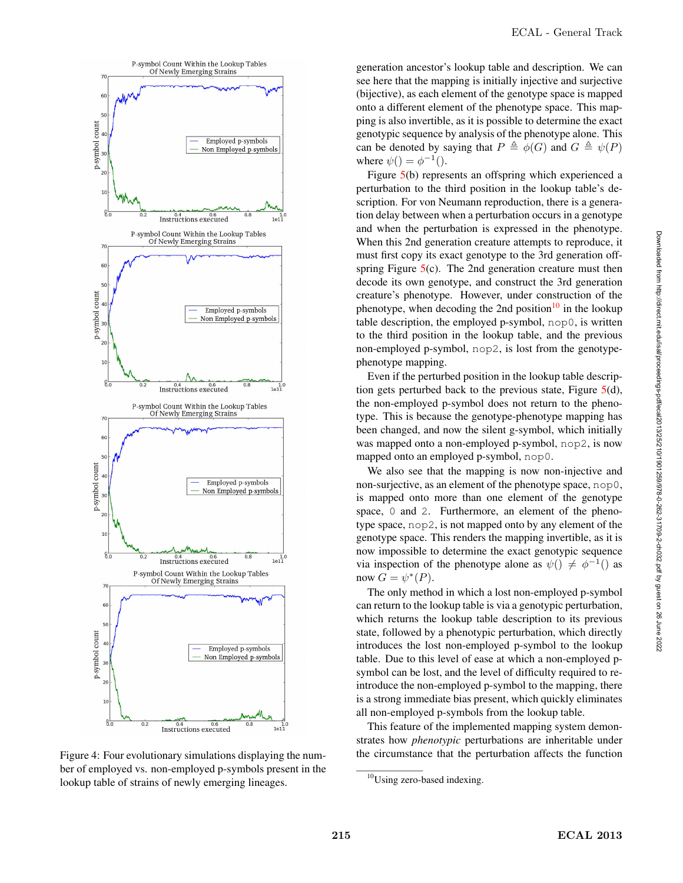

Figure 4: Four evolutionary simulations displaying the number of employed vs. non-employed p-symbols present in the lookup table of strains of newly emerging lineages.

generation ancestor's lookup table and description. We can see here that the mapping is initially injective and surjective (bijective), as each element of the genotype space is mapped onto a different element of the phenotype space. This mapping is also invertible, as it is possible to determine the exact genotypic sequence by analysis of the phenotype alone. This can be denoted by saying that  $P \triangleq \phi(G)$  and  $G \triangleq \psi(P)$ where  $\psi() = \phi^{-1}($ .

Figure 5(b) represents an offspring which experienced a perturbation to the third position in the lookup table's description. For von Neumann reproduction, there is a generation delay between when a perturbation occurs in a genotype and when the perturbation is expressed in the phenotype. When this 2nd generation creature attempts to reproduce, it must first copy its exact genotype to the 3rd generation offspring Figure  $5(c)$ . The 2nd generation creature must then decode its own genotype, and construct the 3rd generation creature's phenotype. However, under construction of the phenotype, when decoding the 2nd position<sup>10</sup> in the lookup table description, the employed p-symbol, nop0, is written to the third position in the lookup table, and the previous non-employed p-symbol, nop2, is lost from the genotypephenotype mapping.

Even if the perturbed position in the lookup table description gets perturbed back to the previous state, Figure 5(d), the non-employed p-symbol does not return to the phenotype. This is because the genotype-phenotype mapping has been changed, and now the silent g-symbol, which initially was mapped onto a non-employed p-symbol, nop2, is now mapped onto an employed p-symbol, nop0.

We also see that the mapping is now non-injective and non-surjective, as an element of the phenotype space, nop0, is mapped onto more than one element of the genotype space, 0 and 2. Furthermore, an element of the phenotype space, nop2, is not mapped onto by any element of the genotype space. This renders the mapping invertible, as it is now impossible to determine the exact genotypic sequence via inspection of the phenotype alone as  $\psi() \neq \phi^{-1}($  as now  $G = \psi^*(P)$ .

The only method in which a lost non-employed p-symbol can return to the lookup table is via a genotypic perturbation, which returns the lookup table description to its previous state, followed by a phenotypic perturbation, which directly introduces the lost non-employed p-symbol to the lookup table. Due to this level of ease at which a non-employed psymbol can be lost, and the level of difficulty required to reintroduce the non-employed p-symbol to the mapping, there is a strong immediate bias present, which quickly eliminates all non-employed p-symbols from the lookup table.

This feature of the implemented mapping system demonstrates how *phenotypic* perturbations are inheritable under the circumstance that the perturbation affects the function

<sup>10</sup>Using zero-based indexing.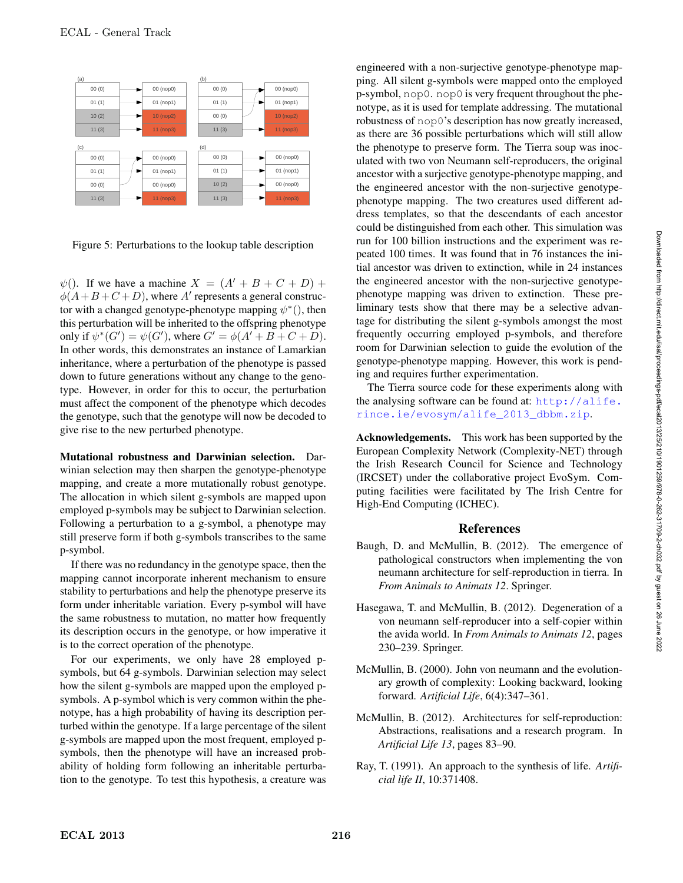

Figure 5: Perturbations to the lookup table description

 $\psi$ (). If we have a machine  $X = (A' + B + C + D) +$  $\phi(A+B+C+D)$ , where A' represents a general constructor with a changed genotype-phenotype mapping  $\psi^*($ , then this perturbation will be inherited to the offspring phenotype only if  $\psi^*(G') = \psi(G')$ , where  $G' = \phi(A' + B + C + D)$ . In other words, this demonstrates an instance of Lamarkian inheritance, where a perturbation of the phenotype is passed down to future generations without any change to the genotype. However, in order for this to occur, the perturbation must affect the component of the phenotype which decodes the genotype, such that the genotype will now be decoded to give rise to the new perturbed phenotype.

Mutational robustness and Darwinian selection. Darwinian selection may then sharpen the genotype-phenotype mapping, and create a more mutationally robust genotype. The allocation in which silent g-symbols are mapped upon employed p-symbols may be subject to Darwinian selection. Following a perturbation to a g-symbol, a phenotype may still preserve form if both g-symbols transcribes to the same p-symbol.

If there was no redundancy in the genotype space, then the mapping cannot incorporate inherent mechanism to ensure stability to perturbations and help the phenotype preserve its form under inheritable variation. Every p-symbol will have the same robustness to mutation, no matter how frequently its description occurs in the genotype, or how imperative it is to the correct operation of the phenotype.

For our experiments, we only have 28 employed psymbols, but 64 g-symbols. Darwinian selection may select how the silent g-symbols are mapped upon the employed psymbols. A p-symbol which is very common within the phenotype, has a high probability of having its description perturbed within the genotype. If a large percentage of the silent g-symbols are mapped upon the most frequent, employed psymbols, then the phenotype will have an increased probability of holding form following an inheritable perturbation to the genotype. To test this hypothesis, a creature was

engineered with a non-surjective genotype-phenotype mapping. All silent g-symbols were mapped onto the employed p-symbol, nop0. nop0 is very frequent throughout the phenotype, as it is used for template addressing. The mutational robustness of nop0's description has now greatly increased, as there are 36 possible perturbations which will still allow the phenotype to preserve form. The Tierra soup was inoculated with two von Neumann self-reproducers, the original ancestor with a surjective genotype-phenotype mapping, and the engineered ancestor with the non-surjective genotypephenotype mapping. The two creatures used different address templates, so that the descendants of each ancestor could be distinguished from each other. This simulation was run for 100 billion instructions and the experiment was repeated 100 times. It was found that in 76 instances the initial ancestor was driven to extinction, while in 24 instances the engineered ancestor with the non-surjective genotypephenotype mapping was driven to extinction. These preliminary tests show that there may be a selective advantage for distributing the silent g-symbols amongst the most frequently occurring employed p-symbols, and therefore room for Darwinian selection to guide the evolution of the genotype-phenotype mapping. However, this work is pending and requires further experimentation.

The Tierra source code for these experiments along with the analysing software can be found at:  $h \text{ttp}$ ://alife. rince.ie/evosym/alife\_2013\_dbbm.zip.

Acknowledgements. This work has been supported by the European Complexity Network (Complexity-NET) through the Irish Research Council for Science and Technology (IRCSET) under the collaborative project EvoSym. Computing facilities were facilitated by The Irish Centre for High-End Computing (ICHEC).

# References

- Baugh, D. and McMullin, B. (2012). The emergence of pathological constructors when implementing the von neumann architecture for self-reproduction in tierra. In *From Animals to Animats 12*. Springer.
- Hasegawa, T. and McMullin, B. (2012). Degeneration of a von neumann self-reproducer into a self-copier within the avida world. In *From Animals to Animats 12*, pages 230–239. Springer.
- McMullin, B. (2000). John von neumann and the evolutionary growth of complexity: Looking backward, looking forward. *Artificial Life*, 6(4):347–361.
- McMullin, B. (2012). Architectures for self-reproduction: Abstractions, realisations and a research program. In *Artificial Life 13*, pages 83–90.
- Ray, T. (1991). An approach to the synthesis of life. *Artificial life II*, 10:371408.